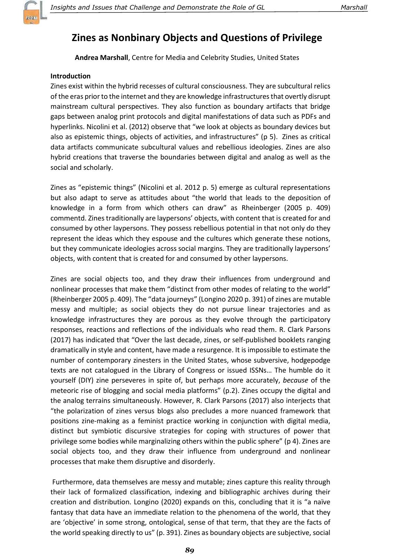

# Zines as Nonbinary Objects and Questions of Privilege

Andrea Marshall, Centre for Media and Celebrity Studies, United States

## Introduction

Zines exist within the hybrid recesses of cultural consciousness. They are subcultural relics of the eras prior to the internet and they are knowledge infrastructures that overtly disrupt mainstream cultural perspectives. They also function as boundary artifacts that bridge gaps between analog print protocols and digital manifestations of data such as PDFs and hyperlinks. Nicolini et al. (2012) observe that "we look at objects as boundary devices but also as epistemic things, objects of activities, and infrastructures" (p 5). Zines as critical data artifacts communicate subcultural values and rebellious ideologies. Zines are also hybrid creations that traverse the boundaries between digital and analog as well as the social and scholarly.

Zines as "epistemic things" (Nicolini et al. 2012 p. 5) emerge as cultural representations but also adapt to serve as attitudes about "the world that leads to the deposition of knowledge in a form from which others can draw" as Rheinberger (2005 p. 409) commentd. Zines traditionally are laypersons' objects, with content that is created for and consumed by other laypersons. They possess rebellious potential in that not only do they represent the ideas which they espouse and the cultures which generate these notions, but they communicate ideologies across social margins. They are traditionally laypersons' objects, with content that is created for and consumed by other laypersons.

Zines are social objects too, and they draw their influences from underground and nonlinear processes that make them "distinct from other modes of relating to the world" (Rheinberger 2005 p. 409). The "data journeys" (Longino 2020 p. 391) of zines are mutable messy and multiple; as social objects they do not pursue linear trajectories and as knowledge infrastructures they are porous as they evolve through the participatory responses, reactions and reflections of the individuals who read them. R. Clark Parsons (2017) has indicated that "Over the last decade, zines, or self-published booklets ranging dramatically in style and content, have made a resurgence. It is impossible to estimate the number of contemporary zinesters in the United States, whose subversive, hodgepodge texts are not catalogued in the Library of Congress or issued ISSNs… The humble do it yourself (DIY) zine perseveres in spite of, but perhaps more accurately, because of the meteoric rise of blogging and social media platforms" (p.2). Zines occupy the digital and the analog terrains simultaneously. However, R. Clark Parsons (2017) also interjects that "the polarization of zines versus blogs also precludes a more nuanced framework that positions zine-making as a feminist practice working in conjunction with digital media, distinct but symbiotic discursive strategies for coping with structures of power that privilege some bodies while marginalizing others within the public sphere" (p 4). Zines are social objects too, and they draw their influence from underground and nonlinear processes that make them disruptive and disorderly.

 Furthermore, data themselves are messy and mutable; zines capture this reality through their lack of formalized classification, indexing and bibliographic archives during their creation and distribution. Longino (2020) expands on this, concluding that it is "a naïve fantasy that data have an immediate relation to the phenomena of the world, that they are 'objective' in some strong, ontological, sense of that term, that they are the facts of the world speaking directly to us" (p. 391). Zines as boundary objects are subjective, social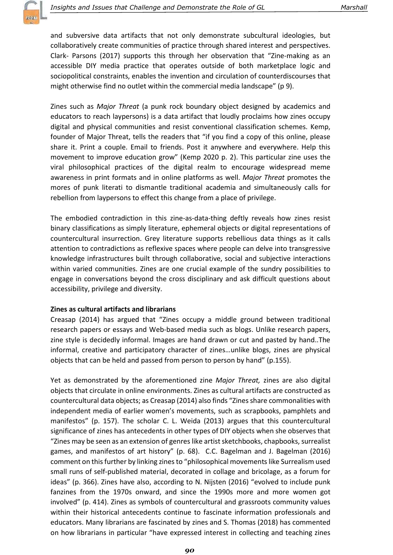and subversive data artifacts that not only demonstrate subcultural ideologies, but collaboratively create communities of practice through shared interest and perspectives. Clark- Parsons (2017) supports this through her observation that "Zine-making as an accessible DIY media practice that operates outside of both marketplace logic and sociopolitical constraints, enables the invention and circulation of counterdiscourses that might otherwise find no outlet within the commercial media landscape" (p 9).

Zines such as Major Threat (a punk rock boundary object designed by academics and educators to reach laypersons) is a data artifact that loudly proclaims how zines occupy digital and physical communities and resist conventional classification schemes. Kemp, founder of Major Threat, tells the readers that "if you find a copy of this online, please share it. Print a couple. Email to friends. Post it anywhere and everywhere. Help this movement to improve education grow" (Kemp 2020 p. 2). This particular zine uses the viral philosophical practices of the digital realm to encourage widespread meme awareness in print formats and in online platforms as well. Major Threat promotes the mores of punk literati to dismantle traditional academia and simultaneously calls for rebellion from laypersons to effect this change from a place of privilege.

The embodied contradiction in this zine-as-data-thing deftly reveals how zines resist binary classifications as simply literature, ephemeral objects or digital representations of countercultural insurrection. Grey literature supports rebellious data things as it calls attention to contradictions as reflexive spaces where people can delve into transgressive knowledge infrastructures built through collaborative, social and subjective interactions within varied communities. Zines are one crucial example of the sundry possibilities to engage in conversations beyond the cross disciplinary and ask difficult questions about accessibility, privilege and diversity.

## Zines as cultural artifacts and librarians

Creasap (2014) has argued that "Zines occupy a middle ground between traditional research papers or essays and Web-based media such as blogs. Unlike research papers, zine style is decidedly informal. Images are hand drawn or cut and pasted by hand..The informal, creative and participatory character of zines…unlike blogs, zines are physical objects that can be held and passed from person to person by hand" (p.155).

Yet as demonstrated by the aforementioned zine *Major Threat*, zines are also digital objects that circulate in online environments. Zines as cultural artifacts are constructed as countercultural data objects; as Creasap (2014) also finds "Zines share commonalities with independent media of earlier women's movements, such as scrapbooks, pamphlets and manifestos" (p. 157). The scholar C. L. Weida (2013) argues that this countercultural significance of zines has antecedents in other types of DIY objects when she observes that "Zines may be seen as an extension of genres like artist sketchbooks, chapbooks, surrealist games, and manifestos of art history" (p. 68). C.C. Bagelman and J. Bagelman (2016) comment on this further by linking zines to "philosophical movements like Surrealism used small runs of self-published material, decorated in collage and bricolage, as a forum for ideas" (p. 366). Zines have also, according to N. Nijsten (2016) "evolved to include punk fanzines from the 1970s onward, and since the 1990s more and more women got involved" (p. 414). Zines as symbols of countercultural and grassroots community values within their historical antecedents continue to fascinate information professionals and educators. Many librarians are fascinated by zines and S. Thomas (2018) has commented on how librarians in particular "have expressed interest in collecting and teaching zines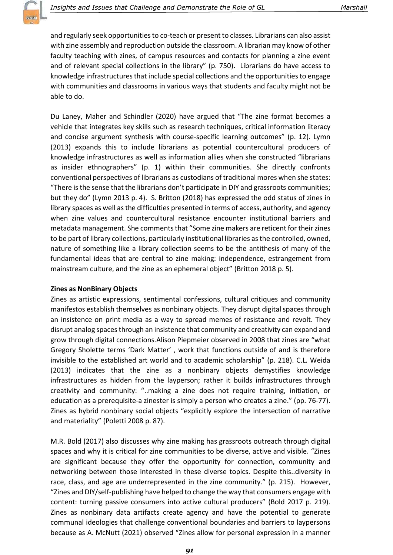and regularly seek opportunities to co-teach or present to classes. Librarians can also assist with zine assembly and reproduction outside the classroom. A librarian may know of other faculty teaching with zines, of campus resources and contacts for planning a zine event and of relevant special collections in the library" (p. 750). Librarians do have access to knowledge infrastructures that include special collections and the opportunities to engage with communities and classrooms in various ways that students and faculty might not be able to do.

Du Laney, Maher and Schindler (2020) have argued that "The zine format becomes a vehicle that integrates key skills such as research techniques, critical information literacy and concise argument synthesis with course-specific learning outcomes" (p. 12). Lymn (2013) expands this to include librarians as potential countercultural producers of knowledge infrastructures as well as information allies when she constructed "librarians as insider ethnographers" (p. 1) within their communities. She directly confronts conventional perspectives of librarians as custodians of traditional mores when she states: "There is the sense that the librarians don't participate in DIY and grassroots communities; but they do" (Lymn 2013 p. 4). S. Britton (2018) has expressed the odd status of zines in library spaces as well as the difficulties presented in terms of access, authority, and agency when zine values and countercultural resistance encounter institutional barriers and metadata management. She comments that "Some zine makers are reticent for their zines to be part of library collections, particularly institutional libraries as the controlled, owned, nature of something like a library collection seems to be the antithesis of many of the fundamental ideas that are central to zine making: independence, estrangement from mainstream culture, and the zine as an ephemeral object" (Britton 2018 p. 5).

### Zines as NonBinary Objects

Zines as artistic expressions, sentimental confessions, cultural critiques and community manifestos establish themselves as nonbinary objects. They disrupt digital spaces through an insistence on print media as a way to spread memes of resistance and revolt. They disrupt analog spaces through an insistence that community and creativity can expand and grow through digital connections.Alison Piepmeier observed in 2008 that zines are "what Gregory Sholette terms 'Dark Matter' , work that functions outside of and is therefore invisible to the established art world and to academic scholarship" (p. 218). C.L. Weida (2013) indicates that the zine as a nonbinary objects demystifies knowledge infrastructures as hidden from the layperson; rather it builds infrastructures through creativity and community: "..making a zine does not require training, initiation, or education as a prerequisite-a zinester is simply a person who creates a zine." (pp. 76-77). Zines as hybrid nonbinary social objects "explicitly explore the intersection of narrative and materiality" (Poletti 2008 p. 87).

M.R. Bold (2017) also discusses why zine making has grassroots outreach through digital spaces and why it is critical for zine communities to be diverse, active and visible. "Zines are significant because they offer the opportunity for connection, community and networking between those interested in these diverse topics. Despite this..diversity in race, class, and age are underrepresented in the zine community." (p. 215). However, "Zines and DIY/self-publishing have helped to change the way that consumers engage with content: turning passive consumers into active cultural producers" (Bold 2017 p. 219). Zines as nonbinary data artifacts create agency and have the potential to generate communal ideologies that challenge conventional boundaries and barriers to laypersons because as A. McNutt (2021) observed "Zines allow for personal expression in a manner